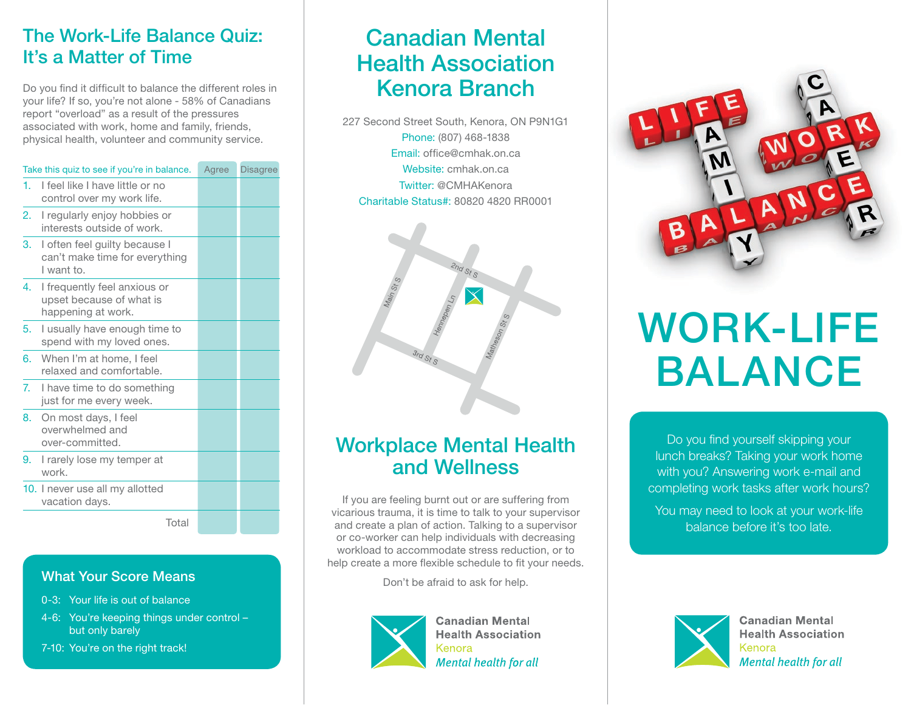### The Work-Life Balance Quiz: It's a Matter of Time

Do you find it difficult to balance the different roles in your life? If so, you're not alone - 58% of Canadians report "overload" as a result of the pressures associated with work, home and family, friends, physical health, volunteer and community service.

|                | Take this quiz to see if you're in balance.                                    | Agree | <b>Disagree</b> |
|----------------|--------------------------------------------------------------------------------|-------|-----------------|
| 1.             | I feel like I have little or no<br>control over my work life.                  |       |                 |
| 2.             | I regularly enjoy hobbies or<br>interests outside of work.                     |       |                 |
| 3.             | I often feel guilty because I<br>can't make time for everything<br>I want to.  |       |                 |
| 4.             | I frequently feel anxious or<br>upset because of what is<br>happening at work. |       |                 |
| 5.             | I usually have enough time to<br>spend with my loved ones.                     |       |                 |
| 6.             | When I'm at home, I feel<br>relaxed and comfortable.                           |       |                 |
| 7 <sub>1</sub> | I have time to do something<br>just for me every week.                         |       |                 |
| 8.             | On most days, I feel<br>overwhelmed and<br>over-committed.                     |       |                 |
| 9.             | I rarely lose my temper at<br>work.                                            |       |                 |
|                | 10. I never use all my allotted<br>vacation days.                              |       |                 |
|                | Total                                                                          |       |                 |

#### What Your Score Means

- 0-3: Your life is out of balance
- 4-6: You're keeping things under control but only barely
- 7-10: You're on the right track!

## Canadian Mental Health Association Kenora Branch

227 Second Street South, Kenora, ON P9N1G1 Phone: (807) 468-1838 Email: office@cmhak.on.ca Website: cmhak.on.ca Twitter: @CMHAKenora Charitable Status#: 80820 4820 RR0001



## Workplace Mental Health and Wellness

If you are feeling burnt out or are suffering from vicarious trauma, it is time to talk to your supervisor and create a plan of action. Talking to a supervisor or co-worker can help individuals with decreasing workload to accommodate stress reduction, or to help create a more flexible schedule to fit your needs.

Don't be afraid to ask for help.



**Canadian Mental Health Association** Kenora **Mental health for all** 



# WORK-LIFE BALANCE

Do you find yourself skipping your lunch breaks? Taking your work home with you? Answering work e-mail and completing work tasks after work hours?

You may need to look at your work-life balance before it's too late.



**Canadian Mental Health Association** Kenora **Mental health for all**